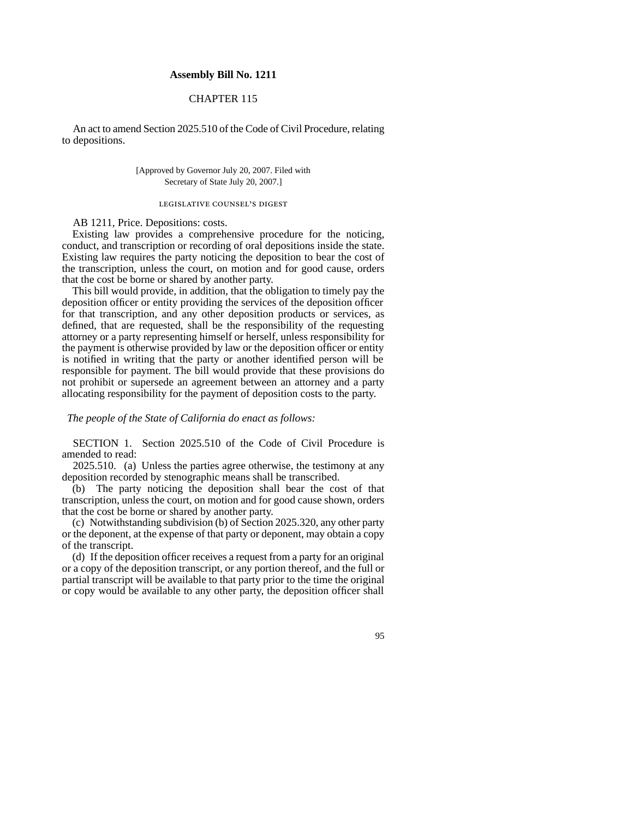## **Assembly Bill No. 1211**

## CHAPTER 115

An act to amend Section 2025.510 of the Code of Civil Procedure, relating to depositions.

> [Approved by Governor July 20, 2007. Filed with Secretary of State July 20, 2007.]

## legislative counsel's digest

AB 1211, Price. Depositions: costs.

Existing law provides a comprehensive procedure for the noticing, conduct, and transcription or recording of oral depositions inside the state. Existing law requires the party noticing the deposition to bear the cost of the transcription, unless the court, on motion and for good cause, orders that the cost be borne or shared by another party.

This bill would provide, in addition, that the obligation to timely pay the deposition officer or entity providing the services of the deposition officer for that transcription, and any other deposition products or services, as defined, that are requested, shall be the responsibility of the requesting attorney or a party representing himself or herself, unless responsibility for the payment is otherwise provided by law or the deposition officer or entity is notified in writing that the party or another identified person will be responsible for payment. The bill would provide that these provisions do not prohibit or supersede an agreement between an attorney and a party allocating responsibility for the payment of deposition costs to the party.

*The people of the State of California do enact as follows:*

SECTION 1. Section 2025.510 of the Code of Civil Procedure is amended to read:

2025.510. (a) Unless the parties agree otherwise, the testimony at any deposition recorded by stenographic means shall be transcribed.

(b) The party noticing the deposition shall bear the cost of that transcription, unless the court, on motion and for good cause shown, orders that the cost be borne or shared by another party.

(c) Notwithstanding subdivision (b) of Section 2025.320, any other party or the deponent, at the expense of that party or deponent, may obtain a copy of the transcript.

(d) If the deposition officer receives a request from a party for an original or a copy of the deposition transcript, or any portion thereof, and the full or partial transcript will be available to that party prior to the time the original or copy would be available to any other party, the deposition officer shall

95